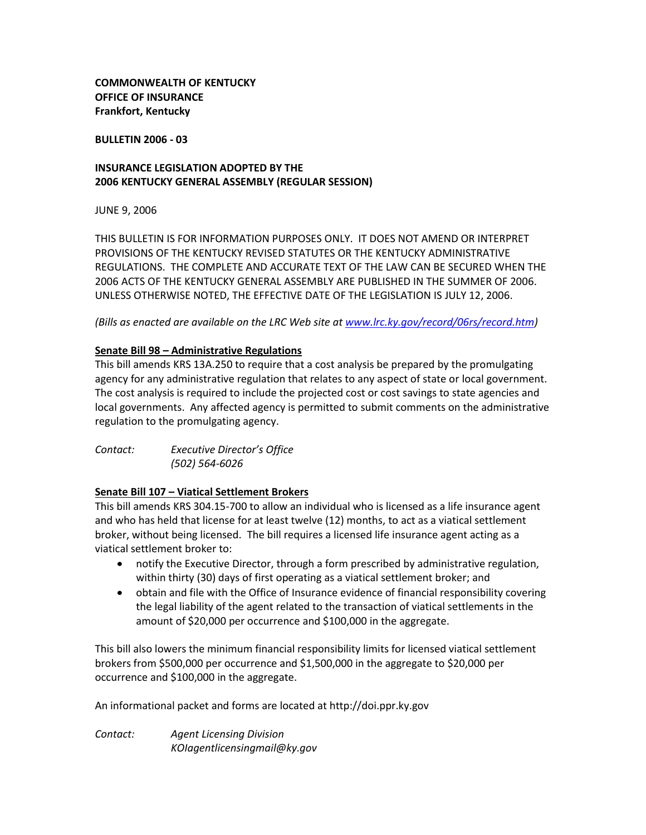**COMMONWEALTH OF KENTUCKY OFFICE OF INSURANCE Frankfort, Kentucky**

**BULLETIN 2006 - 03**

# **INSURANCE LEGISLATION ADOPTED BY THE 2006 KENTUCKY GENERAL ASSEMBLY (REGULAR SESSION)**

JUNE 9, 2006

THIS BULLETIN IS FOR INFORMATION PURPOSES ONLY. IT DOES NOT AMEND OR INTERPRET PROVISIONS OF THE KENTUCKY REVISED STATUTES OR THE KENTUCKY ADMINISTRATIVE REGULATIONS. THE COMPLETE AND ACCURATE TEXT OF THE LAW CAN BE SECURED WHEN THE 2006 ACTS OF THE KENTUCKY GENERAL ASSEMBLY ARE PUBLISHED IN THE SUMMER OF 2006. UNLESS OTHERWISE NOTED, THE EFFECTIVE DATE OF THE LEGISLATION IS JULY 12, 2006.

*(Bills as enacted are available on the LRC Web site at [www.lrc.ky.gov/record/06rs/record.htm\)](http://www.lrc.ky.gov/record/06rs/record.htm)*

## **Senate Bill 98 – Administrative Regulations**

This bill amends KRS 13A.250 to require that a cost analysis be prepared by the promulgating agency for any administrative regulation that relates to any aspect of state or local government. The cost analysis is required to include the projected cost or cost savings to state agencies and local governments. Any affected agency is permitted to submit comments on the administrative regulation to the promulgating agency.

| Contact: | Executive Director's Office |
|----------|-----------------------------|
|          | (502) 564-6026              |

### **Senate Bill 107 – Viatical Settlement Brokers**

This bill amends KRS 304.15-700 to allow an individual who is licensed as a life insurance agent and who has held that license for at least twelve (12) months, to act as a viatical settlement broker, without being licensed. The bill requires a licensed life insurance agent acting as a viatical settlement broker to:

- notify the Executive Director, through a form prescribed by administrative regulation,  $\bullet$ within thirty (30) days of first operating as a viatical settlement broker; and
- obtain and file with the Office of Insurance evidence of financial responsibility covering the legal liability of the agent related to the transaction of viatical settlements in the amount of \$20,000 per occurrence and \$100,000 in the aggregate.

This bill also lowers the minimum financial responsibility limits for licensed viatical settlement brokers from \$500,000 per occurrence and \$1,500,000 in the aggregate to \$20,000 per occurrence and \$100,000 in the aggregate.

An informational packet and forms are located at http://doi.ppr.ky.gov

*Contact: Agent Licensing Division KOIagentlicensingmail@ky.gov*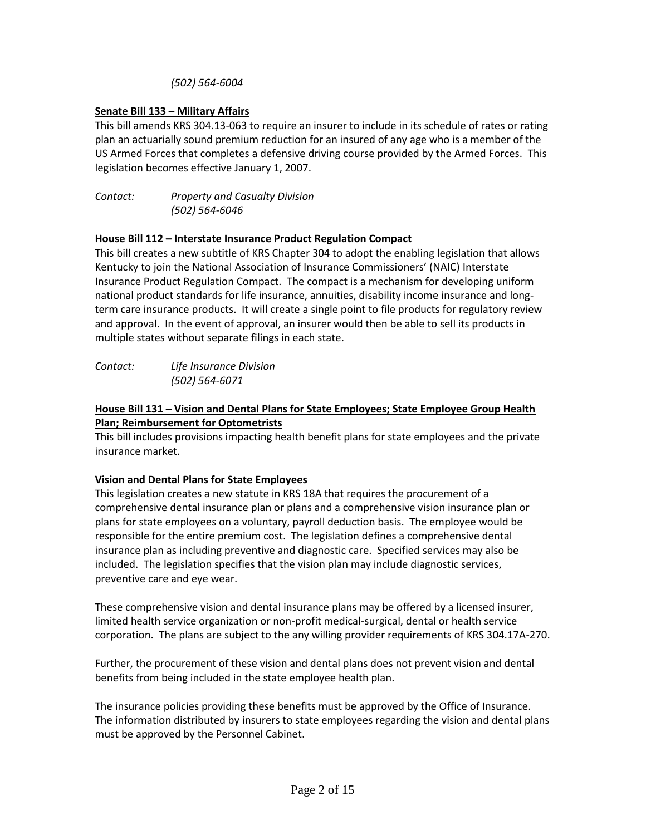*(502) 564-6004*

# **Senate Bill 133 – Military Affairs**

This bill amends KRS 304.13-063 to require an insurer to include in its schedule of rates or rating plan an actuarially sound premium reduction for an insured of any age who is a member of the US Armed Forces that completes a defensive driving course provided by the Armed Forces. This legislation becomes effective January 1, 2007.

*Contact: Property and Casualty Division (502) 564-6046*

## **House Bill 112 – Interstate Insurance Product Regulation Compact**

This bill creates a new subtitle of KRS Chapter 304 to adopt the enabling legislation that allows Kentucky to join the National Association of Insurance Commissioners' (NAIC) Interstate Insurance Product Regulation Compact. The compact is a mechanism for developing uniform national product standards for life insurance, annuities, disability income insurance and longterm care insurance products. It will create a single point to file products for regulatory review and approval. In the event of approval, an insurer would then be able to sell its products in multiple states without separate filings in each state.

*Contact: Life Insurance Division (502) 564-6071*

## **House Bill 131 – Vision and Dental Plans for State Employees; State Employee Group Health Plan; Reimbursement for Optometrists**

This bill includes provisions impacting health benefit plans for state employees and the private insurance market.

# **Vision and Dental Plans for State Employees**

This legislation creates a new statute in KRS 18A that requires the procurement of a comprehensive dental insurance plan or plans and a comprehensive vision insurance plan or plans for state employees on a voluntary, payroll deduction basis. The employee would be responsible for the entire premium cost. The legislation defines a comprehensive dental insurance plan as including preventive and diagnostic care. Specified services may also be included. The legislation specifies that the vision plan may include diagnostic services, preventive care and eye wear.

These comprehensive vision and dental insurance plans may be offered by a licensed insurer, limited health service organization or non-profit medical-surgical, dental or health service corporation. The plans are subject to the any willing provider requirements of KRS 304.17A-270.

Further, the procurement of these vision and dental plans does not prevent vision and dental benefits from being included in the state employee health plan.

The insurance policies providing these benefits must be approved by the Office of Insurance. The information distributed by insurers to state employees regarding the vision and dental plans must be approved by the Personnel Cabinet.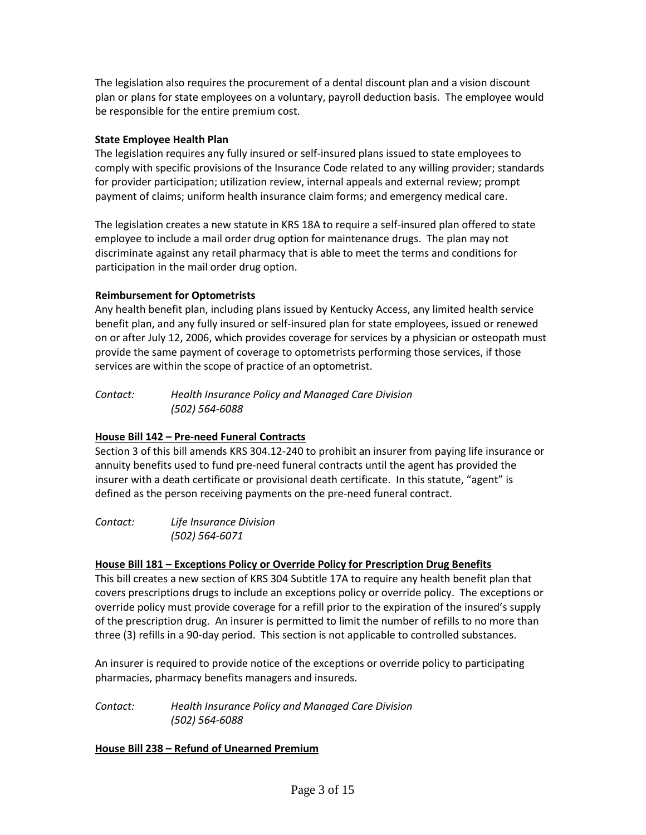The legislation also requires the procurement of a dental discount plan and a vision discount plan or plans for state employees on a voluntary, payroll deduction basis. The employee would be responsible for the entire premium cost.

## **State Employee Health Plan**

The legislation requires any fully insured or self-insured plans issued to state employees to comply with specific provisions of the Insurance Code related to any willing provider; standards for provider participation; utilization review, internal appeals and external review; prompt payment of claims; uniform health insurance claim forms; and emergency medical care.

The legislation creates a new statute in KRS 18A to require a self-insured plan offered to state employee to include a mail order drug option for maintenance drugs. The plan may not discriminate against any retail pharmacy that is able to meet the terms and conditions for participation in the mail order drug option.

# **Reimbursement for Optometrists**

Any health benefit plan, including plans issued by Kentucky Access, any limited health service benefit plan, and any fully insured or self-insured plan for state employees, issued or renewed on or after July 12, 2006, which provides coverage for services by a physician or osteopath must provide the same payment of coverage to optometrists performing those services, if those services are within the scope of practice of an optometrist.

*Contact: Health Insurance Policy and Managed Care Division (502) 564-6088*

# **House Bill 142 – Pre-need Funeral Contracts**

Section 3 of this bill amends KRS 304.12-240 to prohibit an insurer from paying life insurance or annuity benefits used to fund pre-need funeral contracts until the agent has provided the insurer with a death certificate or provisional death certificate. In this statute, "agent" is defined as the person receiving payments on the pre-need funeral contract.

*Contact: Life Insurance Division (502) 564-6071*

### **House Bill 181 – Exceptions Policy or Override Policy for Prescription Drug Benefits**

This bill creates a new section of KRS 304 Subtitle 17A to require any health benefit plan that covers prescriptions drugs to include an exceptions policy or override policy. The exceptions or override policy must provide coverage for a refill prior to the expiration of the insured's supply of the prescription drug. An insurer is permitted to limit the number of refills to no more than three (3) refills in a 90-day period. This section is not applicable to controlled substances.

An insurer is required to provide notice of the exceptions or override policy to participating pharmacies, pharmacy benefits managers and insureds.

*Contact: Health Insurance Policy and Managed Care Division (502) 564-6088*

### **House Bill 238 – Refund of Unearned Premium**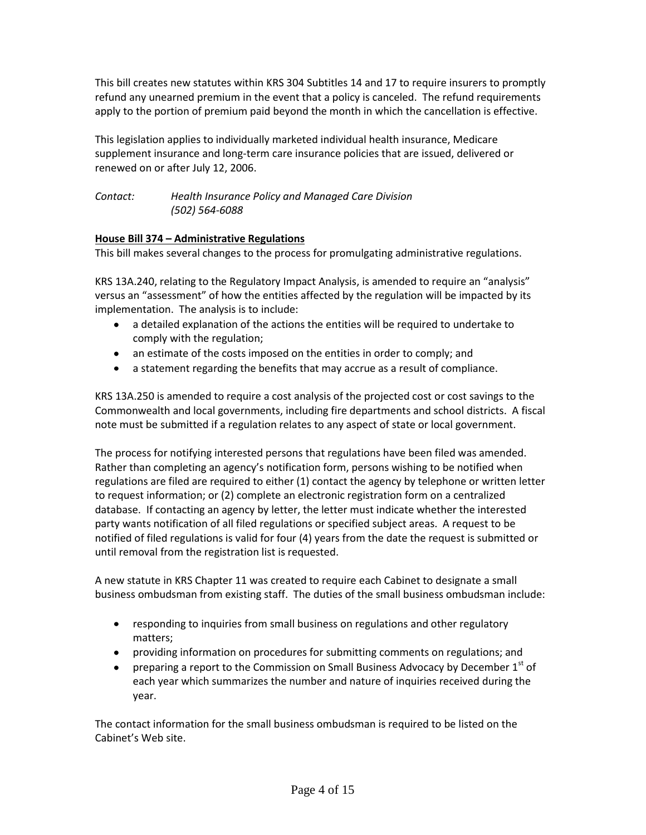This bill creates new statutes within KRS 304 Subtitles 14 and 17 to require insurers to promptly refund any unearned premium in the event that a policy is canceled. The refund requirements apply to the portion of premium paid beyond the month in which the cancellation is effective.

This legislation applies to individually marketed individual health insurance, Medicare supplement insurance and long-term care insurance policies that are issued, delivered or renewed on or after July 12, 2006.

*Contact: Health Insurance Policy and Managed Care Division (502) 564-6088*

# **House Bill 374 – Administrative Regulations**

This bill makes several changes to the process for promulgating administrative regulations.

KRS 13A.240, relating to the Regulatory Impact Analysis, is amended to require an "analysis" versus an "assessment" of how the entities affected by the regulation will be impacted by its implementation. The analysis is to include:

- a detailed explanation of the actions the entities will be required to undertake to comply with the regulation;
- an estimate of the costs imposed on the entities in order to comply; and
- a statement regarding the benefits that may accrue as a result of compliance.

KRS 13A.250 is amended to require a cost analysis of the projected cost or cost savings to the Commonwealth and local governments, including fire departments and school districts. A fiscal note must be submitted if a regulation relates to any aspect of state or local government.

The process for notifying interested persons that regulations have been filed was amended. Rather than completing an agency's notification form, persons wishing to be notified when regulations are filed are required to either (1) contact the agency by telephone or written letter to request information; or (2) complete an electronic registration form on a centralized database. If contacting an agency by letter, the letter must indicate whether the interested party wants notification of all filed regulations or specified subject areas. A request to be notified of filed regulations is valid for four (4) years from the date the request is submitted or until removal from the registration list is requested.

A new statute in KRS Chapter 11 was created to require each Cabinet to designate a small business ombudsman from existing staff. The duties of the small business ombudsman include:

- responding to inquiries from small business on regulations and other regulatory matters;
- providing information on procedures for submitting comments on regulations; and
- preparing a report to the Commission on Small Business Advocacy by December  $1<sup>st</sup>$  of each year which summarizes the number and nature of inquiries received during the year.

The contact information for the small business ombudsman is required to be listed on the Cabinet's Web site.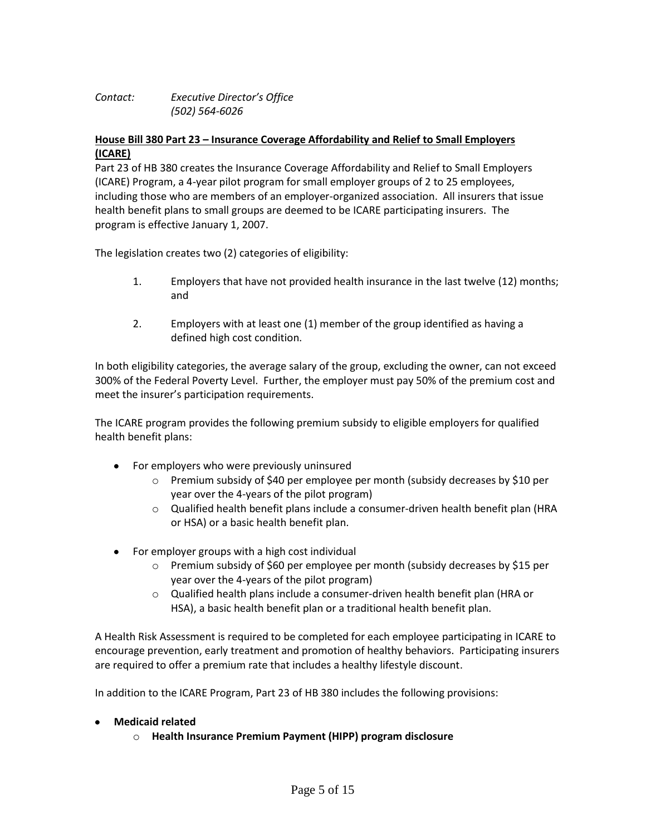# *Contact: Executive Director's Office (502) 564-6026*

## **House Bill 380 Part 23 – Insurance Coverage Affordability and Relief to Small Employers (ICARE)**

Part 23 of HB 380 creates the Insurance Coverage Affordability and Relief to Small Employers (ICARE) Program, a 4-year pilot program for small employer groups of 2 to 25 employees, including those who are members of an employer-organized association. All insurers that issue health benefit plans to small groups are deemed to be ICARE participating insurers. The program is effective January 1, 2007.

The legislation creates two (2) categories of eligibility:

- 1. Employers that have not provided health insurance in the last twelve (12) months; and
- 2. Employers with at least one (1) member of the group identified as having a defined high cost condition.

In both eligibility categories, the average salary of the group, excluding the owner, can not exceed 300% of the Federal Poverty Level. Further, the employer must pay 50% of the premium cost and meet the insurer's participation requirements.

The ICARE program provides the following premium subsidy to eligible employers for qualified health benefit plans:

- For employers who were previously uninsured  $\bullet$ 
	- o Premium subsidy of \$40 per employee per month (subsidy decreases by \$10 per year over the 4-years of the pilot program)
	- $\circ$  Qualified health benefit plans include a consumer-driven health benefit plan (HRA or HSA) or a basic health benefit plan.
- For employer groups with a high cost individual  $\bullet$ 
	- o Premium subsidy of \$60 per employee per month (subsidy decreases by \$15 per year over the 4-years of the pilot program)
	- o Qualified health plans include a consumer-driven health benefit plan (HRA or HSA), a basic health benefit plan or a traditional health benefit plan.

A Health Risk Assessment is required to be completed for each employee participating in ICARE to encourage prevention, early treatment and promotion of healthy behaviors. Participating insurers are required to offer a premium rate that includes a healthy lifestyle discount.

In addition to the ICARE Program, Part 23 of HB 380 includes the following provisions:

### **Medicaid related**

o **Health Insurance Premium Payment (HIPP) program disclosure**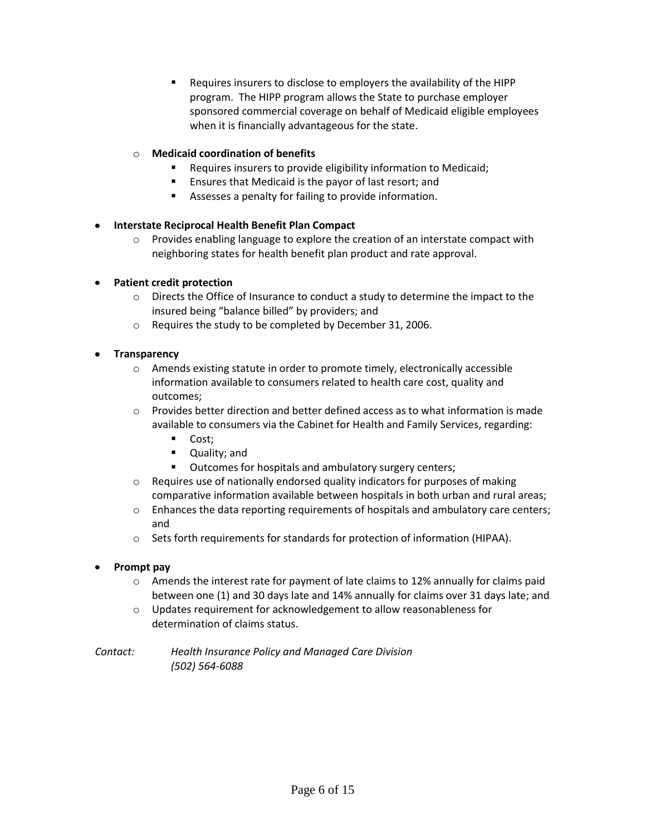Requires insurers to disclose to employers the availability of the HIPP program. The HIPP program allows the State to purchase employer sponsored commercial coverage on behalf of Medicaid eligible employees when it is financially advantageous for the state.

# o **Medicaid coordination of benefits**

- Requires insurers to provide eligibility information to Medicaid;
- **Ensures that Medicaid is the payor of last resort; and**
- Assesses a penalty for failing to provide information.

### **Interstate Reciprocal Health Benefit Plan Compact**

 $\circ$  Provides enabling language to explore the creation of an interstate compact with neighboring states for health benefit plan product and rate approval.

## **Patient credit protection**

- $\circ$  Directs the Office of Insurance to conduct a study to determine the impact to the insured being "balance billed" by providers; and
- o Requires the study to be completed by December 31, 2006.

## **Transparency**

- $\circ$  Amends existing statute in order to promote timely, electronically accessible information available to consumers related to health care cost, quality and outcomes;
- $\circ$  Provides better direction and better defined access as to what information is made available to consumers via the Cabinet for Health and Family Services, regarding:
	- Cost;
	- **•** Quality; and
	- Outcomes for hospitals and ambulatory surgery centers;
- $\circ$  Requires use of nationally endorsed quality indicators for purposes of making comparative information available between hospitals in both urban and rural areas;
- $\circ$  Enhances the data reporting requirements of hospitals and ambulatory care centers; and
- o Sets forth requirements for standards for protection of information (HIPAA).

### **Prompt pay**

- $\circ$  Amends the interest rate for payment of late claims to 12% annually for claims paid between one (1) and 30 days late and 14% annually for claims over 31 days late; and
- o Updates requirement for acknowledgement to allow reasonableness for determination of claims status.

*Contact: Health Insurance Policy and Managed Care Division (502) 564-6088*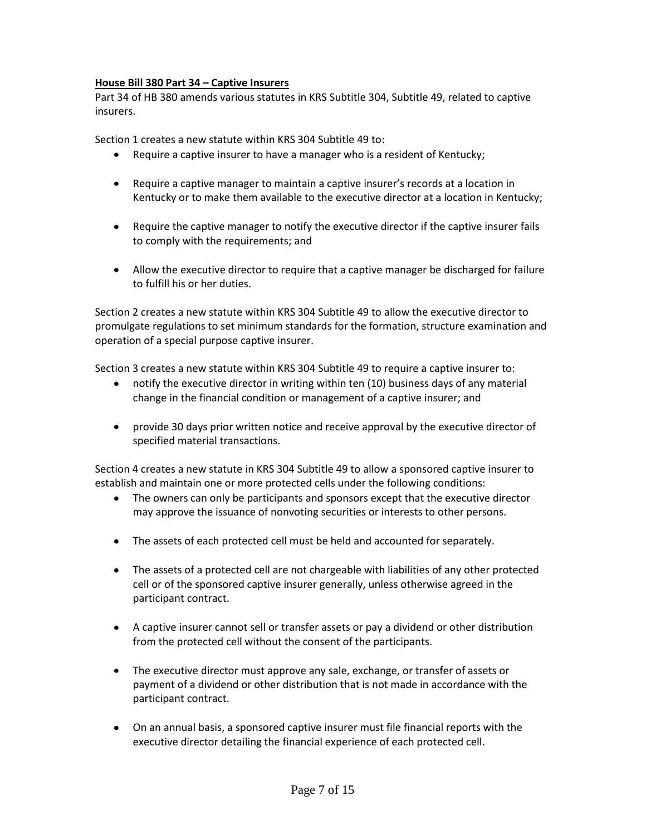## **House Bill 380 Part 34 – Captive Insurers**

Part 34 of HB 380 amends various statutes in KRS Subtitle 304, Subtitle 49, related to captive insurers.

Section 1 creates a new statute within KRS 304 Subtitle 49 to:

- Require a captive insurer to have a manager who is a resident of Kentucky;
- Require a captive manager to maintain a captive insurer's records at a location in Kentucky or to make them available to the executive director at a location in Kentucky;
- Require the captive manager to notify the executive director if the captive insurer fails to comply with the requirements; and
- Allow the executive director to require that a captive manager be discharged for failure to fulfill his or her duties.

Section 2 creates a new statute within KRS 304 Subtitle 49 to allow the executive director to promulgate regulations to set minimum standards for the formation, structure examination and operation of a special purpose captive insurer.

Section 3 creates a new statute within KRS 304 Subtitle 49 to require a captive insurer to:

- notify the executive director in writing within ten (10) business days of any material change in the financial condition or management of a captive insurer; and
- provide 30 days prior written notice and receive approval by the executive director of specified material transactions.

Section 4 creates a new statute in KRS 304 Subtitle 49 to allow a sponsored captive insurer to establish and maintain one or more protected cells under the following conditions:

- The owners can only be participants and sponsors except that the executive director may approve the issuance of nonvoting securities or interests to other persons.
- The assets of each protected cell must be held and accounted for separately.
- The assets of a protected cell are not chargeable with liabilities of any other protected cell or of the sponsored captive insurer generally, unless otherwise agreed in the participant contract.
- A captive insurer cannot sell or transfer assets or pay a dividend or other distribution from the protected cell without the consent of the participants.
- The executive director must approve any sale, exchange, or transfer of assets or payment of a dividend or other distribution that is not made in accordance with the participant contract.
- On an annual basis, a sponsored captive insurer must file financial reports with the executive director detailing the financial experience of each protected cell.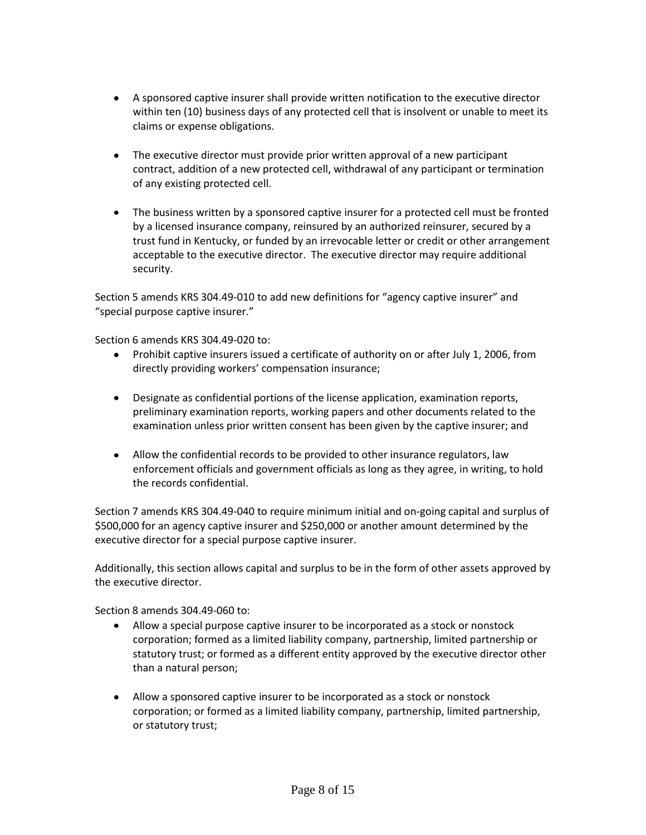- A sponsored captive insurer shall provide written notification to the executive director within ten (10) business days of any protected cell that is insolvent or unable to meet its claims or expense obligations.
- The executive director must provide prior written approval of a new participant contract, addition of a new protected cell, withdrawal of any participant or termination of any existing protected cell.
- The business written by a sponsored captive insurer for a protected cell must be fronted by a licensed insurance company, reinsured by an authorized reinsurer, secured by a trust fund in Kentucky, or funded by an irrevocable letter or credit or other arrangement acceptable to the executive director. The executive director may require additional security.

Section 5 amends KRS 304.49-010 to add new definitions for "agency captive insurer" and "special purpose captive insurer."

Section 6 amends KRS 304.49-020 to:

- Prohibit captive insurers issued a certificate of authority on or after July 1, 2006, from directly providing workers' compensation insurance;
- Designate as confidential portions of the license application, examination reports, preliminary examination reports, working papers and other documents related to the examination unless prior written consent has been given by the captive insurer; and
- Allow the confidential records to be provided to other insurance regulators, law enforcement officials and government officials as long as they agree, in writing, to hold the records confidential.

Section 7 amends KRS 304.49-040 to require minimum initial and on-going capital and surplus of \$500,000 for an agency captive insurer and \$250,000 or another amount determined by the executive director for a special purpose captive insurer.

Additionally, this section allows capital and surplus to be in the form of other assets approved by the executive director.

Section 8 amends 304.49-060 to:

- Allow a special purpose captive insurer to be incorporated as a stock or nonstock corporation; formed as a limited liability company, partnership, limited partnership or statutory trust; or formed as a different entity approved by the executive director other than a natural person;
- Allow a sponsored captive insurer to be incorporated as a stock or nonstock corporation; or formed as a limited liability company, partnership, limited partnership, or statutory trust;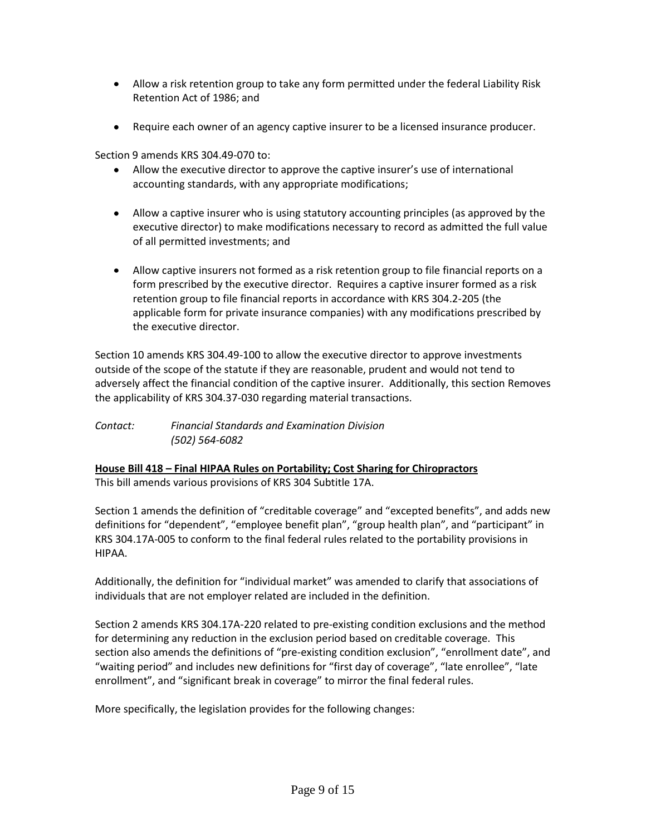- Allow a risk retention group to take any form permitted under the federal Liability Risk Retention Act of 1986; and
- Require each owner of an agency captive insurer to be a licensed insurance producer.

Section 9 amends KRS 304.49-070 to:

- Allow the executive director to approve the captive insurer's use of international accounting standards, with any appropriate modifications;
- Allow a captive insurer who is using statutory accounting principles (as approved by the executive director) to make modifications necessary to record as admitted the full value of all permitted investments; and
- Allow captive insurers not formed as a risk retention group to file financial reports on a form prescribed by the executive director. Requires a captive insurer formed as a risk retention group to file financial reports in accordance with KRS 304.2-205 (the applicable form for private insurance companies) with any modifications prescribed by the executive director.

Section 10 amends KRS 304.49-100 to allow the executive director to approve investments outside of the scope of the statute if they are reasonable, prudent and would not tend to adversely affect the financial condition of the captive insurer. Additionally, this section Removes the applicability of KRS 304.37-030 regarding material transactions.

*Contact: Financial Standards and Examination Division (502) 564-6082*

**House Bill 418 – Final HIPAA Rules on Portability; Cost Sharing for Chiropractors** This bill amends various provisions of KRS 304 Subtitle 17A.

Section 1 amends the definition of "creditable coverage" and "excepted benefits", and adds new definitions for "dependent", "employee benefit plan", "group health plan", and "participant" in KRS 304.17A-005 to conform to the final federal rules related to the portability provisions in HIPAA.

Additionally, the definition for "individual market" was amended to clarify that associations of individuals that are not employer related are included in the definition.

Section 2 amends KRS 304.17A-220 related to pre-existing condition exclusions and the method for determining any reduction in the exclusion period based on creditable coverage. This section also amends the definitions of "pre-existing condition exclusion", "enrollment date", and "waiting period" and includes new definitions for "first day of coverage", "late enrollee", "late enrollment", and "significant break in coverage" to mirror the final federal rules.

More specifically, the legislation provides for the following changes: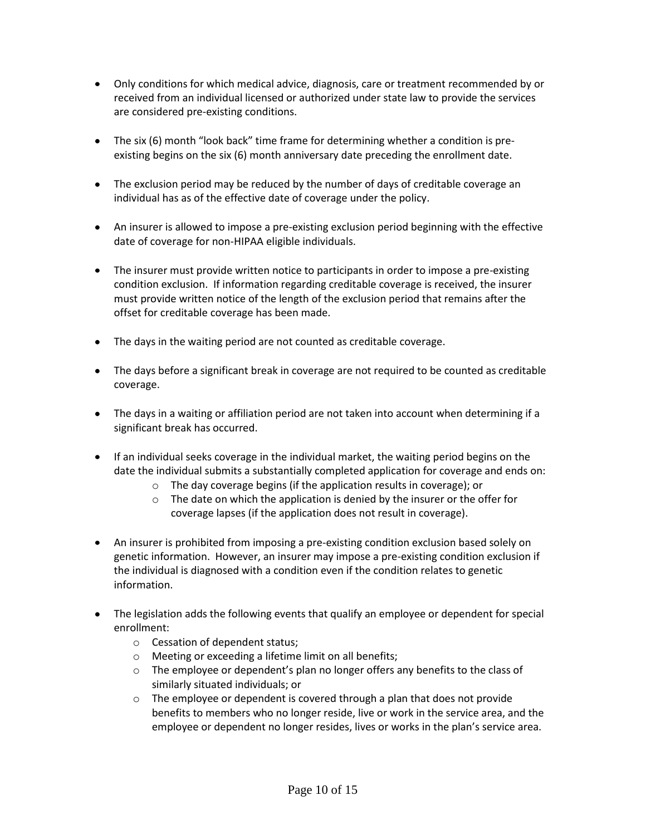- Only conditions for which medical advice, diagnosis, care or treatment recommended by or received from an individual licensed or authorized under state law to provide the services are considered pre-existing conditions.
- The six (6) month "look back" time frame for determining whether a condition is preexisting begins on the six (6) month anniversary date preceding the enrollment date.
- The exclusion period may be reduced by the number of days of creditable coverage an individual has as of the effective date of coverage under the policy.
- An insurer is allowed to impose a pre-existing exclusion period beginning with the effective date of coverage for non-HIPAA eligible individuals.
- The insurer must provide written notice to participants in order to impose a pre-existing condition exclusion. If information regarding creditable coverage is received, the insurer must provide written notice of the length of the exclusion period that remains after the offset for creditable coverage has been made.
- The days in the waiting period are not counted as creditable coverage.
- The days before a significant break in coverage are not required to be counted as creditable coverage.
- The days in a waiting or affiliation period are not taken into account when determining if a significant break has occurred.
- If an individual seeks coverage in the individual market, the waiting period begins on the date the individual submits a substantially completed application for coverage and ends on:
	- o The day coverage begins (if the application results in coverage); or
	- o The date on which the application is denied by the insurer or the offer for coverage lapses (if the application does not result in coverage).
- An insurer is prohibited from imposing a pre-existing condition exclusion based solely on genetic information. However, an insurer may impose a pre-existing condition exclusion if the individual is diagnosed with a condition even if the condition relates to genetic information.
- The legislation adds the following events that qualify an employee or dependent for special enrollment:
	- o Cessation of dependent status;
	- o Meeting or exceeding a lifetime limit on all benefits;
	- o The employee or dependent's plan no longer offers any benefits to the class of similarly situated individuals; or
	- $\circ$  The employee or dependent is covered through a plan that does not provide benefits to members who no longer reside, live or work in the service area, and the employee or dependent no longer resides, lives or works in the plan's service area.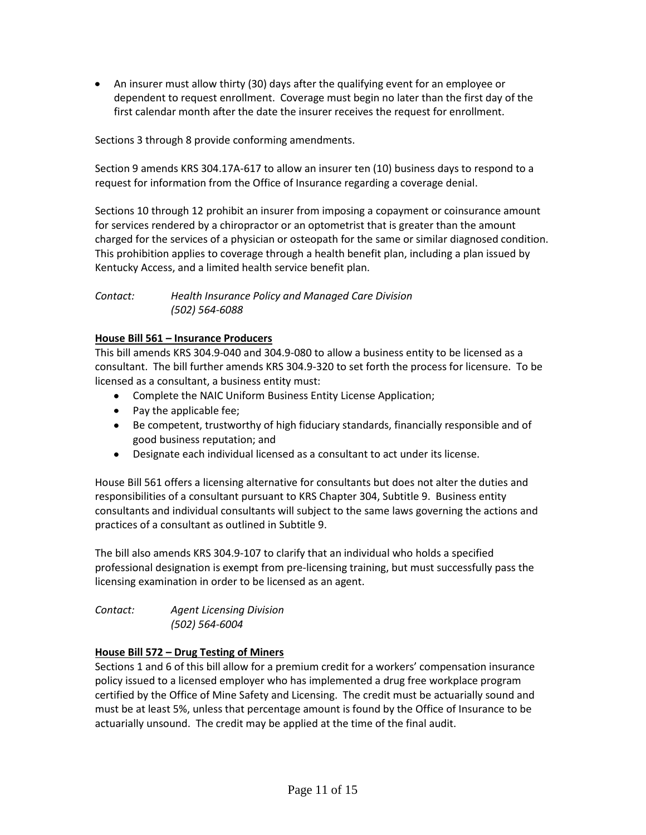An insurer must allow thirty (30) days after the qualifying event for an employee or dependent to request enrollment. Coverage must begin no later than the first day of the first calendar month after the date the insurer receives the request for enrollment.

Sections 3 through 8 provide conforming amendments.

Section 9 amends KRS 304.17A-617 to allow an insurer ten (10) business days to respond to a request for information from the Office of Insurance regarding a coverage denial.

Sections 10 through 12 prohibit an insurer from imposing a copayment or coinsurance amount for services rendered by a chiropractor or an optometrist that is greater than the amount charged for the services of a physician or osteopath for the same or similar diagnosed condition. This prohibition applies to coverage through a health benefit plan, including a plan issued by Kentucky Access, and a limited health service benefit plan.

## *Contact: Health Insurance Policy and Managed Care Division (502) 564-6088*

## **House Bill 561 – Insurance Producers**

This bill amends KRS 304.9-040 and 304.9-080 to allow a business entity to be licensed as a consultant. The bill further amends KRS 304.9-320 to set forth the process for licensure. To be licensed as a consultant, a business entity must:

- Complete the NAIC Uniform Business Entity License Application;
- Pay the applicable fee;
- Be competent, trustworthy of high fiduciary standards, financially responsible and of good business reputation; and
- Designate each individual licensed as a consultant to act under its license.

House Bill 561 offers a licensing alternative for consultants but does not alter the duties and responsibilities of a consultant pursuant to KRS Chapter 304, Subtitle 9. Business entity consultants and individual consultants will subject to the same laws governing the actions and practices of a consultant as outlined in Subtitle 9.

The bill also amends KRS 304.9-107 to clarify that an individual who holds a specified professional designation is exempt from pre-licensing training, but must successfully pass the licensing examination in order to be licensed as an agent.

| Contact: | <b>Agent Licensing Division</b> |
|----------|---------------------------------|
|          | (502) 564-6004                  |

### **House Bill 572 – Drug Testing of Miners**

Sections 1 and 6 of this bill allow for a premium credit for a workers' compensation insurance policy issued to a licensed employer who has implemented a drug free workplace program certified by the Office of Mine Safety and Licensing. The credit must be actuarially sound and must be at least 5%, unless that percentage amount is found by the Office of Insurance to be actuarially unsound. The credit may be applied at the time of the final audit.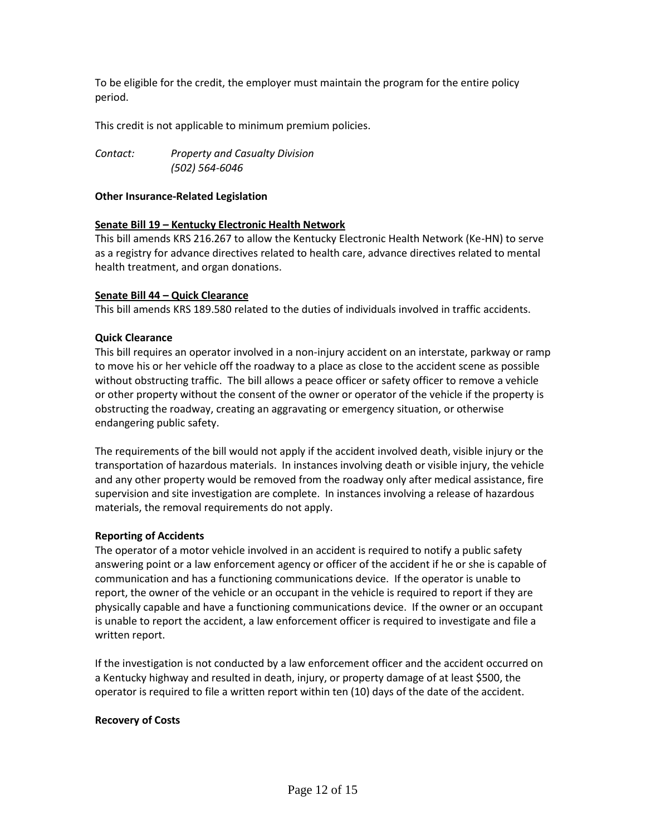To be eligible for the credit, the employer must maintain the program for the entire policy period.

This credit is not applicable to minimum premium policies.

*Contact: Property and Casualty Division (502) 564-6046*

### **Other Insurance-Related Legislation**

## **Senate Bill 19 – Kentucky Electronic Health Network**

This bill amends KRS 216.267 to allow the Kentucky Electronic Health Network (Ke-HN) to serve as a registry for advance directives related to health care, advance directives related to mental health treatment, and organ donations.

## **Senate Bill 44 – Quick Clearance**

This bill amends KRS 189.580 related to the duties of individuals involved in traffic accidents.

## **Quick Clearance**

This bill requires an operator involved in a non-injury accident on an interstate, parkway or ramp to move his or her vehicle off the roadway to a place as close to the accident scene as possible without obstructing traffic. The bill allows a peace officer or safety officer to remove a vehicle or other property without the consent of the owner or operator of the vehicle if the property is obstructing the roadway, creating an aggravating or emergency situation, or otherwise endangering public safety.

The requirements of the bill would not apply if the accident involved death, visible injury or the transportation of hazardous materials. In instances involving death or visible injury, the vehicle and any other property would be removed from the roadway only after medical assistance, fire supervision and site investigation are complete. In instances involving a release of hazardous materials, the removal requirements do not apply.

### **Reporting of Accidents**

The operator of a motor vehicle involved in an accident is required to notify a public safety answering point or a law enforcement agency or officer of the accident if he or she is capable of communication and has a functioning communications device. If the operator is unable to report, the owner of the vehicle or an occupant in the vehicle is required to report if they are physically capable and have a functioning communications device. If the owner or an occupant is unable to report the accident, a law enforcement officer is required to investigate and file a written report.

If the investigation is not conducted by a law enforcement officer and the accident occurred on a Kentucky highway and resulted in death, injury, or property damage of at least \$500, the operator is required to file a written report within ten (10) days of the date of the accident.

### **Recovery of Costs**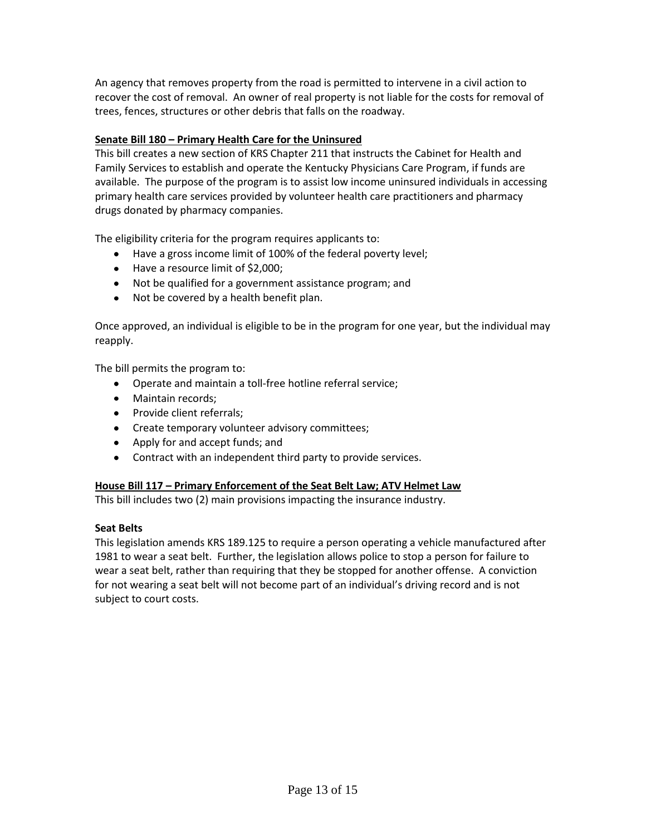An agency that removes property from the road is permitted to intervene in a civil action to recover the cost of removal. An owner of real property is not liable for the costs for removal of trees, fences, structures or other debris that falls on the roadway.

# **Senate Bill 180 – Primary Health Care for the Uninsured**

This bill creates a new section of KRS Chapter 211 that instructs the Cabinet for Health and Family Services to establish and operate the Kentucky Physicians Care Program, if funds are available. The purpose of the program is to assist low income uninsured individuals in accessing primary health care services provided by volunteer health care practitioners and pharmacy drugs donated by pharmacy companies.

The eligibility criteria for the program requires applicants to:

- Have a gross income limit of 100% of the federal poverty level;
- Have a resource limit of \$2,000;
- Not be qualified for a government assistance program; and
- Not be covered by a health benefit plan.

Once approved, an individual is eligible to be in the program for one year, but the individual may reapply.

The bill permits the program to:

- Operate and maintain a toll-free hotline referral service;
- Maintain records:
- Provide client referrals:
- Create temporary volunteer advisory committees;
- Apply for and accept funds; and
- Contract with an independent third party to provide services.

# **House Bill 117 – Primary Enforcement of the Seat Belt Law; ATV Helmet Law**

This bill includes two (2) main provisions impacting the insurance industry.

# **Seat Belts**

This legislation amends KRS 189.125 to require a person operating a vehicle manufactured after 1981 to wear a seat belt. Further, the legislation allows police to stop a person for failure to wear a seat belt, rather than requiring that they be stopped for another offense. A conviction for not wearing a seat belt will not become part of an individual's driving record and is not subject to court costs.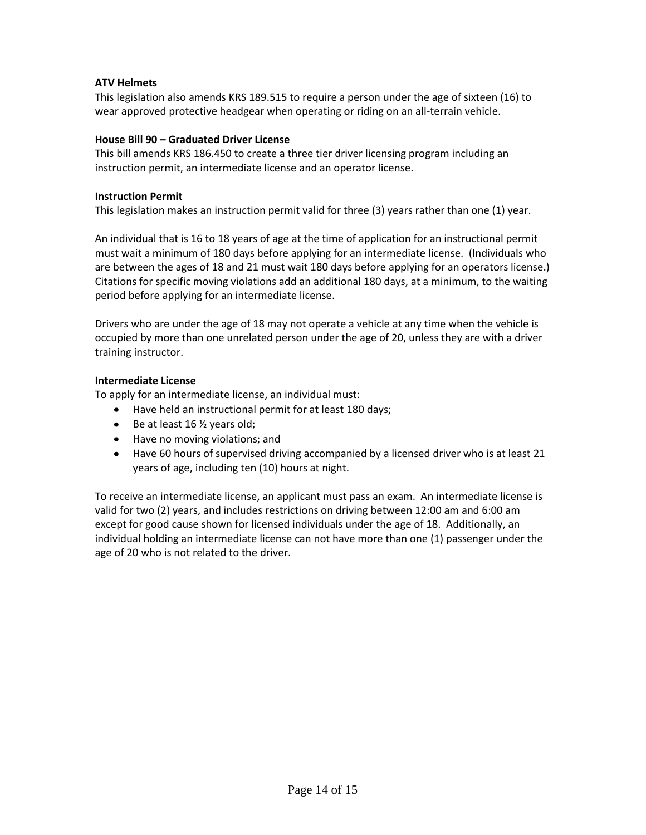# **ATV Helmets**

This legislation also amends KRS 189.515 to require a person under the age of sixteen (16) to wear approved protective headgear when operating or riding on an all-terrain vehicle.

## **House Bill 90 – Graduated Driver License**

This bill amends KRS 186.450 to create a three tier driver licensing program including an instruction permit, an intermediate license and an operator license.

### **Instruction Permit**

This legislation makes an instruction permit valid for three (3) years rather than one (1) year.

An individual that is 16 to 18 years of age at the time of application for an instructional permit must wait a minimum of 180 days before applying for an intermediate license. (Individuals who are between the ages of 18 and 21 must wait 180 days before applying for an operators license.) Citations for specific moving violations add an additional 180 days, at a minimum, to the waiting period before applying for an intermediate license.

Drivers who are under the age of 18 may not operate a vehicle at any time when the vehicle is occupied by more than one unrelated person under the age of 20, unless they are with a driver training instructor.

## **Intermediate License**

To apply for an intermediate license, an individual must:

- Have held an instructional permit for at least 180 days;
- $\bullet$  Be at least 16  $\frac{1}{2}$  years old;
- Have no moving violations; and
- Have 60 hours of supervised driving accompanied by a licensed driver who is at least 21 years of age, including ten (10) hours at night.

To receive an intermediate license, an applicant must pass an exam. An intermediate license is valid for two (2) years, and includes restrictions on driving between 12:00 am and 6:00 am except for good cause shown for licensed individuals under the age of 18. Additionally, an individual holding an intermediate license can not have more than one (1) passenger under the age of 20 who is not related to the driver.